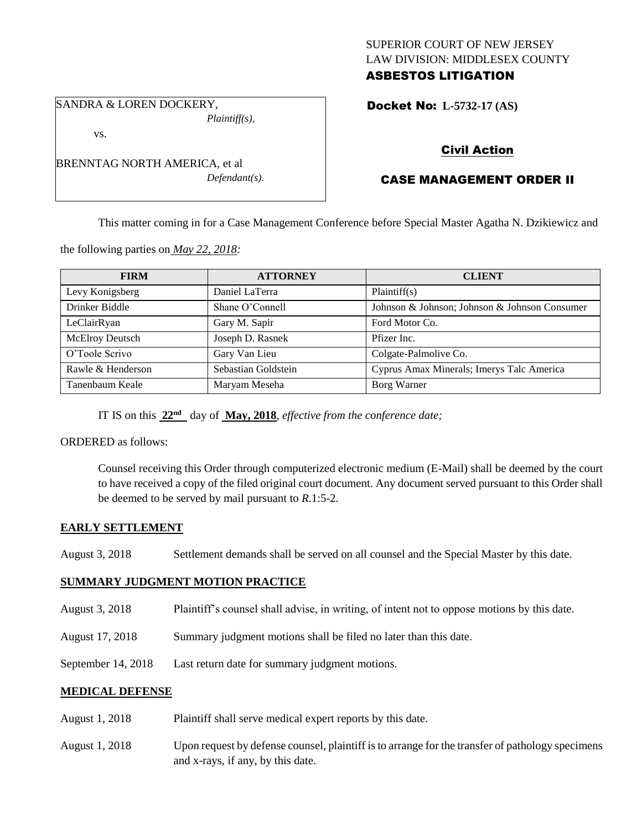## SUPERIOR COURT OF NEW JERSEY LAW DIVISION: MIDDLESEX COUNTY ASBESTOS LITIGATION

SANDRA & LOREN DOCKERY, *Plaintiff(s),*

vs.

BRENNTAG NORTH AMERICA, et al *Defendant(s).*

## Docket No: **L-5732-17 (AS)**

# Civil Action

# CASE MANAGEMENT ORDER II

This matter coming in for a Case Management Conference before Special Master Agatha N. Dzikiewicz and

the following parties on *May 22, 2018:*

| <b>FIRM</b>       | <b>ATTORNEY</b>     | <b>CLIENT</b>                                 |
|-------------------|---------------------|-----------------------------------------------|
| Levy Konigsberg   | Daniel LaTerra      | Plaintiff(s)                                  |
| Drinker Biddle    | Shane O'Connell     | Johnson & Johnson; Johnson & Johnson Consumer |
| LeClairRyan       | Gary M. Sapir       | Ford Motor Co.                                |
| McElroy Deutsch   | Joseph D. Rasnek    | Pfizer Inc.                                   |
| O'Toole Scrivo    | Gary Van Lieu       | Colgate-Palmolive Co.                         |
| Rawle & Henderson | Sebastian Goldstein | Cyprus Amax Minerals; Imerys Talc America     |
| Tanenbaum Keale   | Maryam Meseha       | Borg Warner                                   |

IT IS on this **22nd** day of **May, 2018**, *effective from the conference date;*

ORDERED as follows:

Counsel receiving this Order through computerized electronic medium (E-Mail) shall be deemed by the court to have received a copy of the filed original court document. Any document served pursuant to this Order shall be deemed to be served by mail pursuant to *R*.1:5-2.

### **EARLY SETTLEMENT**

## **SUMMARY JUDGMENT MOTION PRACTICE**

- August 3, 2018 Plaintiff's counsel shall advise, in writing, of intent not to oppose motions by this date.
- August 17, 2018 Summary judgment motions shall be filed no later than this date.
- September 14, 2018 Last return date for summary judgment motions.

### **MEDICAL DEFENSE**

- August 1, 2018 Plaintiff shall serve medical expert reports by this date.
- August 1, 2018 Upon request by defense counsel, plaintiff is to arrange for the transfer of pathology specimens and x-rays, if any, by this date.